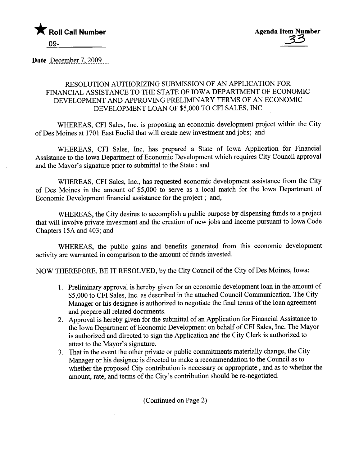

Date December 7, 2009

## RESOLUTION AUTHORIZING SUBMISSION OF AN APPLICATION FOR FINANCIAL ASSISTANCE TO THE STATE OF IOWA DEPARTMENT OF ECONOMIC DEVELOPMENT AND APPROVING PRELIMINARY TERMS OF AN ECONOMIC DEVELOPMENT LOAN OF \$5,000 TO CFI SALES, INC

WHEREAS, CFI Sales, Inc. is proposing an economic development project within the City of Des Moines at 1701 East Euclid that will create new investment and jobs; and

WHEREAS, CFI Sales, Inc, has prepared a State of Iowa Application for Financial Assistance to the Iowa Department of Economic Development which requires City Council approval and the Mayor's signature prior to submittal to the State; and

WHEREAS, CFI Sales, Inc., has requested economic development assistance from the City of Des Moines in the amount of \$5,000 to serve as a local match for the Iowa Deparment of Economic Development financial assistance for the project; and,

WHEREAS, the City desires to accomplish a public purose by dispensing fuds to a project that will involve private investment and the creation of new jobs and income pursuant to Iowa Code Chapters 15A and 403; and

WHEREAS, the public gains and benefits generated from this economic development activity are warranted in comparison to the amount of funds invested.

NOW THEREFORE, BE IT RESOLVED, by the City Council of the City of Des Moines, Iowa:

- 1. Preliminary approval is hereby given for an economic development loan in the amount of \$5,000 to CFI Sales, Inc. as described in the attached Council Communication. The City Manager or his designee is authorized to negotiate the final terms of the loan agreement and prepare all related documents.
- 2. Approval is hereby given for the submittal of an Application for Financial Assistance to the Iowa Deparment of Economic Development on behalf of CFI Sales, Inc. The Mayor is authorized and directed to sign the Application and the City Clerk is authorized to attest to the Mayor's signature.
- 3. That in the event the other private or public commitments materially change, the City Manager or his designee is directed to make a recommendation to the Council as to whether the proposed City contribution is necessary or appropriate, and as to whether the amount, rate, and terms of the City's contribution should be re-negotiated.

(Continued on Page 2)